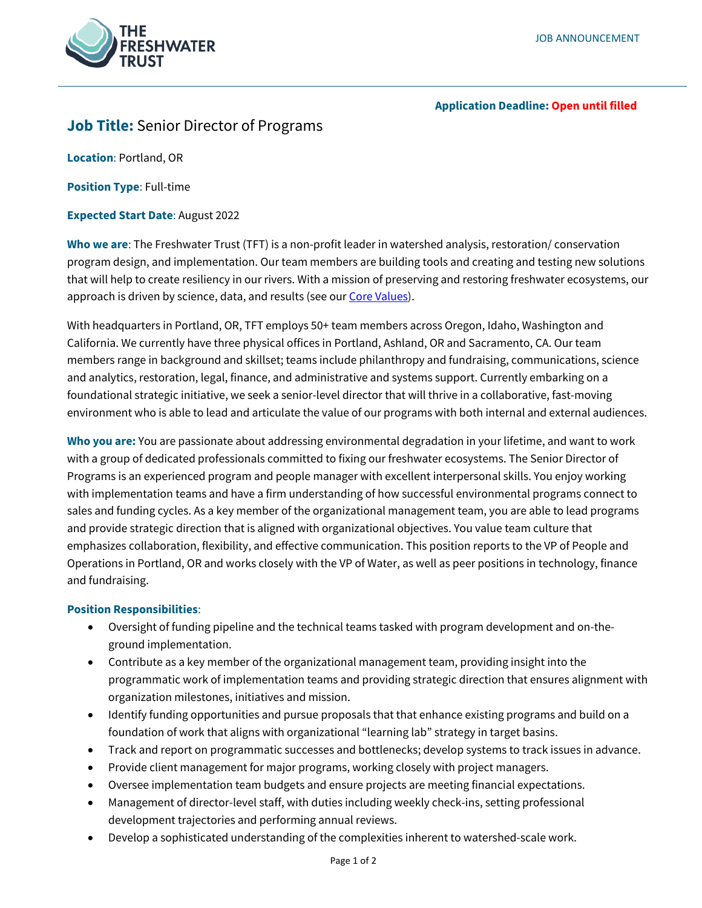

## **Application Deadline: Open until filled**

# **Job Title:** Senior Director of Programs

**Location**: Portland, OR

**Position Type**: Full-time

**Expected Start Date**: August 2022

**Who we are**: The Freshwater Trust (TFT) is a non-profit leader in watershed analysis, restoration/ conservation program design, and implementation. Our team members are building tools and creating and testing new solutions that will help to create resiliency in our rivers. With a mission of preserving and restoring freshwater ecosystems, our approach is driven by science, data, and results (see ou[r Core Values\)](https://www.thefreshwatertrust.org/about-us/core-values/).

With headquarters in Portland, OR, TFT employs 50+ team members across Oregon, Idaho, Washington and California. We currently have three physical offices in Portland, Ashland, OR and Sacramento, CA. Our team members range in background and skillset; teams include philanthropy and fundraising, communications, science and analytics, restoration, legal, finance, and administrative and systems support. Currently embarking on a foundational strategic initiative, we seek a senior-level director that will thrive in a collaborative, fast-moving environment who is able to lead and articulate the value of our programs with both internal and external audiences.

**Who you are:** You are passionate about addressing environmental degradation in your lifetime, and want to work with a group of dedicated professionals committed to fixing our freshwater ecosystems. The Senior Director of Programs is an experienced program and people manager with excellent interpersonal skills. You enjoy working with implementation teams and have a firm understanding of how successful environmental programs connect to sales and funding cycles. As a key member of the organizational management team, you are able to lead programs and provide strategic direction that is aligned with organizational objectives. You value team culture that emphasizes collaboration, flexibility, and effective communication. This position reports to the VP of People and Operations in Portland, OR and works closely with the VP of Water, as well as peer positions in technology, finance and fundraising.

## **Position Responsibilities**:

- Oversight of funding pipeline and the technical teams tasked with program development and on-theground implementation.
- Contribute as a key member of the organizational management team, providing insight into the programmatic work of implementation teams and providing strategic direction that ensures alignment with organization milestones, initiatives and mission.
- Identify funding opportunities and pursue proposals that that enhance existing programs and build on a foundation of work that aligns with organizational "learning lab" strategy in target basins.
- Track and report on programmatic successes and bottlenecks; develop systems to track issues in advance.
- Provide client management for major programs, working closely with project managers.
- Oversee implementation team budgets and ensure projects are meeting financial expectations.
- Management of director-level staff, with duties including weekly check-ins, setting professional development trajectories and performing annual reviews.
- Develop a sophisticated understanding of the complexities inherent to watershed-scale work.